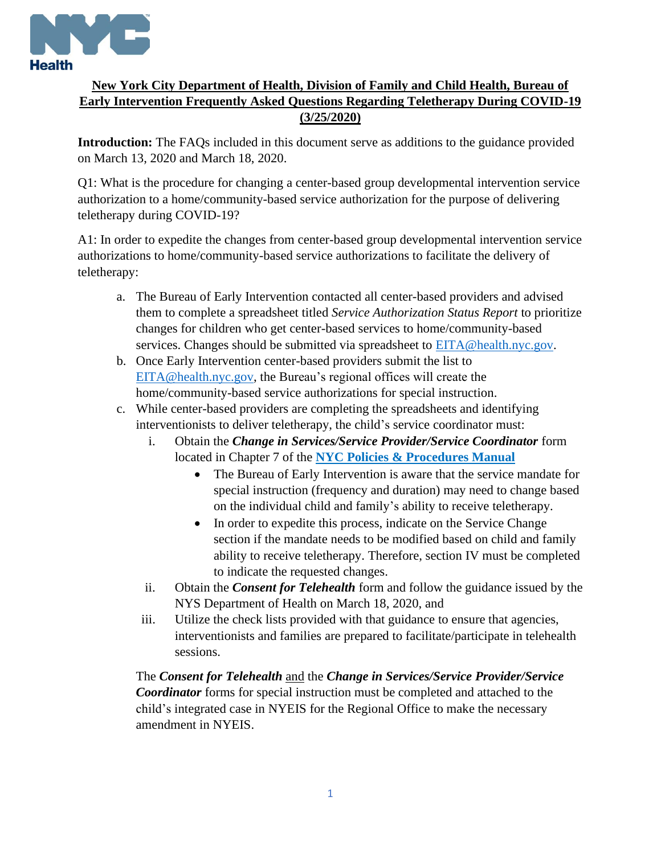

## **New York City Department of Health, Division of Family and Child Health, Bureau of Early Intervention Frequently Asked Questions Regarding Teletherapy During COVID-19 (3/25/2020)**

**Introduction:** The FAQs included in this document serve as additions to the guidance provided on March 13, 2020 and March 18, 2020.

Q1: What is the procedure for changing a center-based group developmental intervention service authorization to a home/community-based service authorization for the purpose of delivering teletherapy during COVID-19?

A1: In order to expedite the changes from center-based group developmental intervention service authorizations to home/community-based service authorizations to facilitate the delivery of teletherapy:

- a. The Bureau of Early Intervention contacted all center-based providers and advised them to complete a spreadsheet titled *Service Authorization Status Report* to prioritize changes for children who get center-based services to home/community-based services. Changes should be submitted via spreadsheet to **EITA@health.nyc.gov**.
- b. Once Early Intervention center-based providers submit the list to EITA@health.nyc.gov, the Bureau's regional offices will create the home/community-based service authorizations for special instruction.
- c. While center-based providers are completing the spreadsheets and identifying interventionists to deliver teletherapy, the child's service coordinator must:
	- i. Obtain the *Change in Services/Service Provider/Service Coordinator* form located in Chapter 7 of the **NYC Policies & Procedures Manual** 
		- The Bureau of Early Intervention is aware that the service mandate for special instruction (frequency and duration) may need to change based on the individual child and family's ability to receive teletherapy.
		- In order to expedite this process, indicate on the Service Change section if the mandate needs to be modified based on child and family ability to receive teletherapy. Therefore, section IV must be completed to indicate the requested changes.
	- ii. Obtain the *Consent for Telehealth* form and follow the guidance issued by the NYS Department of Health on March 18, 2020, and
	- iii. Utilize the check lists provided with that guidance to ensure that agencies, interventionists and families are prepared to facilitate/participate in telehealth sessions.

The *Consent for Telehealth* and the *Change in Services/Service Provider/Service Coordinator* forms for special instruction must be completed and attached to the child's integrated case in NYEIS for the Regional Office to make the necessary amendment in NYEIS.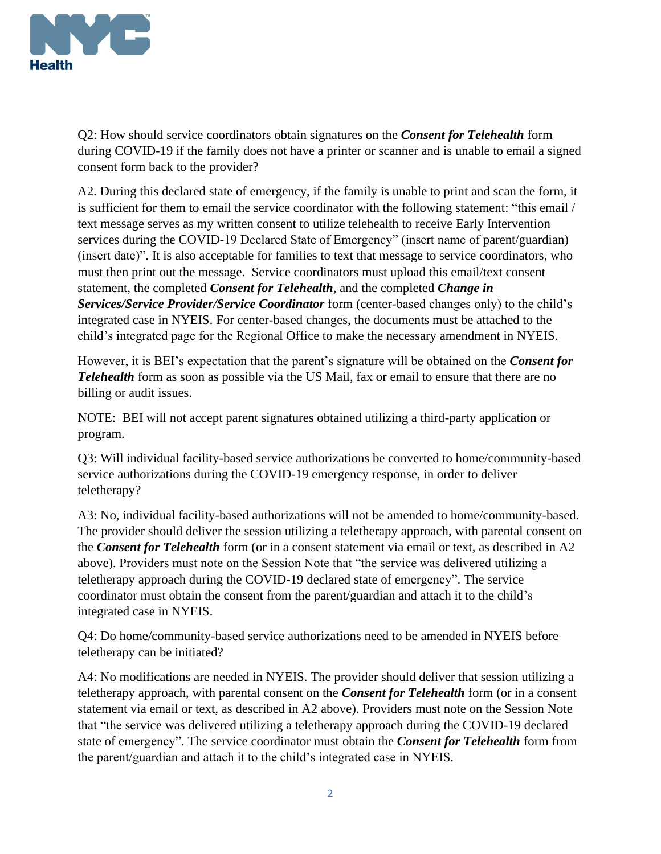

Q2: How should service coordinators obtain signatures on the *Consent for Telehealth* form during COVID-19 if the family does not have a printer or scanner and is unable to email a signed consent form back to the provider?

A2. During this declared state of emergency, if the family is unable to print and scan the form, it is sufficient for them to email the service coordinator with the following statement: "this email / text message serves as my written consent to utilize telehealth to receive Early Intervention services during the COVID-19 Declared State of Emergency" (insert name of parent/guardian) (insert date)". It is also acceptable for families to text that message to service coordinators, who must then print out the message. Service coordinators must upload this email/text consent statement, the completed *Consent for Telehealth*, and the completed *Change in Services/Service Provider/Service Coordinator* form (center-based changes only) to the child's integrated case in NYEIS. For center-based changes, the documents must be attached to the child's integrated page for the Regional Office to make the necessary amendment in NYEIS.

However, it is BEI's expectation that the parent's signature will be obtained on the *Consent for Telehealth* form as soon as possible via the US Mail, fax or email to ensure that there are no billing or audit issues.

NOTE: BEI will not accept parent signatures obtained utilizing a third-party application or program.

Q3: Will individual facility-based service authorizations be converted to home/community-based service authorizations during the COVID-19 emergency response, in order to deliver teletherapy?

A3: No, individual facility-based authorizations will not be amended to home/community-based. The provider should deliver the session utilizing a teletherapy approach, with parental consent on the *Consent for Telehealth* form (or in a consent statement via email or text, as described in A2 above). Providers must note on the Session Note that "the service was delivered utilizing a teletherapy approach during the COVID-19 declared state of emergency". The service coordinator must obtain the consent from the parent/guardian and attach it to the child's integrated case in NYEIS.

Q4: Do home/community-based service authorizations need to be amended in NYEIS before teletherapy can be initiated?

A4: No modifications are needed in NYEIS. The provider should deliver that session utilizing a teletherapy approach, with parental consent on the *Consent for Telehealth* form (or in a consent statement via email or text, as described in A2 above). Providers must note on the Session Note that "the service was delivered utilizing a teletherapy approach during the COVID-19 declared state of emergency". The service coordinator must obtain the *Consent for Telehealth* form from the parent/guardian and attach it to the child's integrated case in NYEIS.